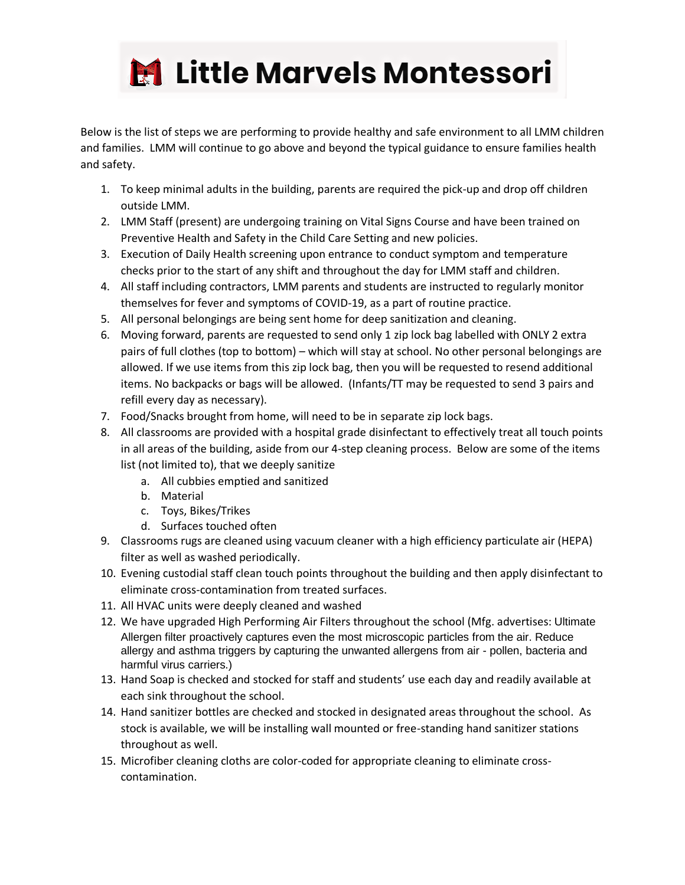

Below is the list of steps we are performing to provide healthy and safe environment to all LMM children and families. LMM will continue to go above and beyond the typical guidance to ensure families health and safety.

- 1. To keep minimal adults in the building, parents are required the pick-up and drop off children outside LMM.
- 2. LMM Staff (present) are undergoing training on Vital Signs Course and have been trained on Preventive Health and Safety in the Child Care Setting and new policies.
- 3. Execution of Daily Health screening upon entrance to conduct symptom and temperature checks prior to the start of any shift and throughout the day for LMM staff and children.
- 4. All staff including contractors, LMM parents and students are instructed to regularly monitor themselves for fever and symptoms of COVID-19, as a part of routine practice.
- 5. All personal belongings are being sent home for deep sanitization and cleaning.
- 6. Moving forward, parents are requested to send only 1 zip lock bag labelled with ONLY 2 extra pairs of full clothes (top to bottom) – which will stay at school. No other personal belongings are allowed. If we use items from this zip lock bag, then you will be requested to resend additional items. No backpacks or bags will be allowed. (Infants/TT may be requested to send 3 pairs and refill every day as necessary).
- 7. Food/Snacks brought from home, will need to be in separate zip lock bags.
- 8. All classrooms are provided with a hospital grade disinfectant to effectively treat all touch points in all areas of the building, aside from our 4-step cleaning process. Below are some of the items list (not limited to), that we deeply sanitize
	- a. All cubbies emptied and sanitized
	- b. Material
	- c. Toys, Bikes/Trikes
	- d. Surfaces touched often
- 9. Classrooms rugs are cleaned using vacuum cleaner with a high efficiency particulate air (HEPA) filter as well as washed periodically.
- 10. Evening custodial staff clean touch points throughout the building and then apply disinfectant to eliminate cross-contamination from treated surfaces.
- 11. All HVAC units were deeply cleaned and washed
- 12. We have upgraded High Performing Air Filters throughout the school (Mfg. advertises: Ultimate Allergen filter proactively captures even the most microscopic particles from the air. Reduce allergy and asthma triggers by capturing the unwanted allergens from air - pollen, bacteria and harmful virus carriers.)
- 13. Hand Soap is checked and stocked for staff and students' use each day and readily available at each sink throughout the school.
- 14. Hand sanitizer bottles are checked and stocked in designated areas throughout the school. As stock is available, we will be installing wall mounted or free-standing hand sanitizer stations throughout as well.
- 15. Microfiber cleaning cloths are color-coded for appropriate cleaning to eliminate crosscontamination.